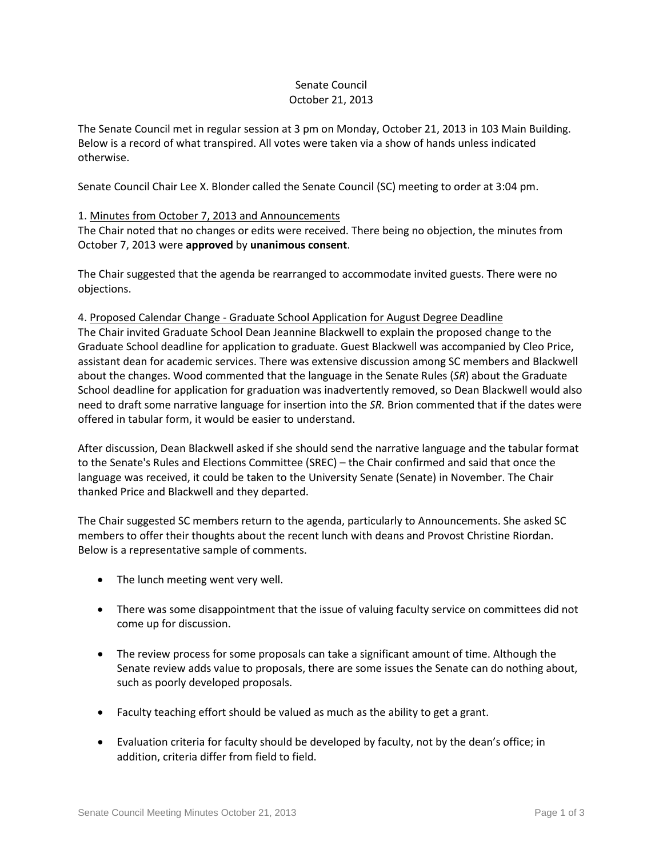# Senate Council October 21, 2013

The Senate Council met in regular session at 3 pm on Monday, October 21, 2013 in 103 Main Building. Below is a record of what transpired. All votes were taken via a show of hands unless indicated otherwise.

Senate Council Chair Lee X. Blonder called the Senate Council (SC) meeting to order at 3:04 pm.

## 1. Minutes from October 7, 2013 and Announcements

The Chair noted that no changes or edits were received. There being no objection, the minutes from October 7, 2013 were **approved** by **unanimous consent**.

The Chair suggested that the agenda be rearranged to accommodate invited guests. There were no objections.

### 4. Proposed Calendar Change - Graduate School Application for August Degree Deadline

The Chair invited Graduate School Dean Jeannine Blackwell to explain the proposed change to the Graduate School deadline for application to graduate. Guest Blackwell was accompanied by Cleo Price, assistant dean for academic services. There was extensive discussion among SC members and Blackwell about the changes. Wood commented that the language in the Senate Rules (*SR*) about the Graduate School deadline for application for graduation was inadvertently removed, so Dean Blackwell would also need to draft some narrative language for insertion into the *SR.* Brion commented that if the dates were offered in tabular form, it would be easier to understand.

After discussion, Dean Blackwell asked if she should send the narrative language and the tabular format to the Senate's Rules and Elections Committee (SREC) – the Chair confirmed and said that once the language was received, it could be taken to the University Senate (Senate) in November. The Chair thanked Price and Blackwell and they departed.

The Chair suggested SC members return to the agenda, particularly to Announcements. She asked SC members to offer their thoughts about the recent lunch with deans and Provost Christine Riordan. Below is a representative sample of comments.

- The lunch meeting went very well.
- There was some disappointment that the issue of valuing faculty service on committees did not come up for discussion.
- The review process for some proposals can take a significant amount of time. Although the Senate review adds value to proposals, there are some issues the Senate can do nothing about, such as poorly developed proposals.
- Faculty teaching effort should be valued as much as the ability to get a grant.
- Evaluation criteria for faculty should be developed by faculty, not by the dean's office; in addition, criteria differ from field to field.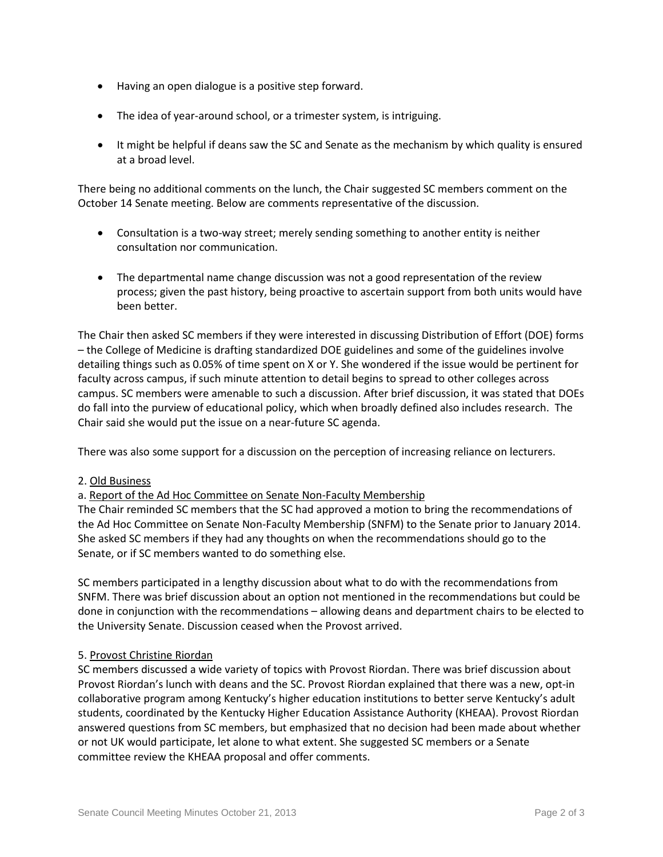- Having an open dialogue is a positive step forward.
- The idea of year-around school, or a trimester system, is intriguing.
- It might be helpful if deans saw the SC and Senate as the mechanism by which quality is ensured at a broad level.

There being no additional comments on the lunch, the Chair suggested SC members comment on the October 14 Senate meeting. Below are comments representative of the discussion.

- Consultation is a two-way street; merely sending something to another entity is neither consultation nor communication.
- The departmental name change discussion was not a good representation of the review process; given the past history, being proactive to ascertain support from both units would have been better.

The Chair then asked SC members if they were interested in discussing Distribution of Effort (DOE) forms – the College of Medicine is drafting standardized DOE guidelines and some of the guidelines involve detailing things such as 0.05% of time spent on X or Y. She wondered if the issue would be pertinent for faculty across campus, if such minute attention to detail begins to spread to other colleges across campus. SC members were amenable to such a discussion. After brief discussion, it was stated that DOEs do fall into the purview of educational policy, which when broadly defined also includes research. The Chair said she would put the issue on a near-future SC agenda.

There was also some support for a discussion on the perception of increasing reliance on lecturers.

2. Old Business

### a. Report of the Ad Hoc Committee on Senate Non-Faculty Membership

The Chair reminded SC members that the SC had approved a motion to bring the recommendations of the Ad Hoc Committee on Senate Non-Faculty Membership (SNFM) to the Senate prior to January 2014. She asked SC members if they had any thoughts on when the recommendations should go to the Senate, or if SC members wanted to do something else.

SC members participated in a lengthy discussion about what to do with the recommendations from SNFM. There was brief discussion about an option not mentioned in the recommendations but could be done in conjunction with the recommendations – allowing deans and department chairs to be elected to the University Senate. Discussion ceased when the Provost arrived.

### 5. Provost Christine Riordan

SC members discussed a wide variety of topics with Provost Riordan. There was brief discussion about Provost Riordan's lunch with deans and the SC. Provost Riordan explained that there was a new, opt-in collaborative program among Kentucky's higher education institutions to better serve Kentucky's adult students, coordinated by the Kentucky Higher Education Assistance Authority (KHEAA). Provost Riordan answered questions from SC members, but emphasized that no decision had been made about whether or not UK would participate, let alone to what extent. She suggested SC members or a Senate committee review the KHEAA proposal and offer comments.